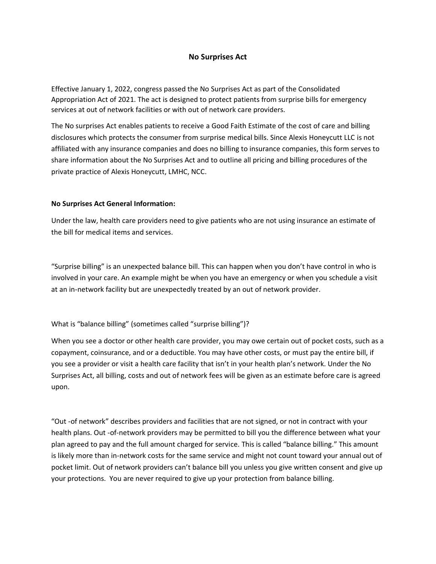# **No Surprises Act**

Effective January 1, 2022, congress passed the No Surprises Act as part of the Consolidated Appropriation Act of 2021. The act is designed to protect patients from surprise bills for emergency services at out of network facilities or with out of network care providers.

The No surprises Act enables patients to receive a Good Faith Estimate of the cost of care and billing disclosures which protects the consumer from surprise medical bills. Since Alexis Honeycutt LLC is not affiliated with any insurance companies and does no billing to insurance companies, this form serves to share information about the No Surprises Act and to outline all pricing and billing procedures of the private practice of Alexis Honeycutt, LMHC, NCC.

# **No Surprises Act General Information:**

Under the law, health care providers need to give patients who are not using insurance an estimate of the bill for medical items and services.

"Surprise billing" is an unexpected balance bill. This can happen when you don't have control in who is involved in your care. An example might be when you have an emergency or when you schedule a visit at an in-network facility but are unexpectedly treated by an out of network provider.

What is "balance billing" (sometimes called "surprise billing")?

When you see a doctor or other health care provider, you may owe certain out of pocket costs, such as a copayment, coinsurance, and or a deductible. You may have other costs, or must pay the entire bill, if you see a provider or visit a health care facility that isn't in your health plan's network. Under the No Surprises Act, all billing, costs and out of network fees will be given as an estimate before care is agreed upon.

"Out -of network" describes providers and facilities that are not signed, or not in contract with your health plans. Out -of-network providers may be permitted to bill you the difference between what your plan agreed to pay and the full amount charged for service. This is called "balance billing." This amount is likely more than in-network costs for the same service and might not count toward your annual out of pocket limit. Out of network providers can't balance bill you unless you give written consent and give up your protections. You are never required to give up your protection from balance billing.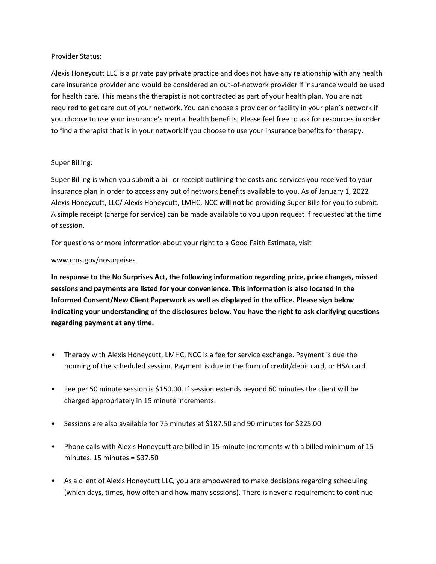### Provider Status:

Alexis Honeycutt LLC is a private pay private practice and does not have any relationship with any health care insurance provider and would be considered an out-of-network provider if insurance would be used for health care. This means the therapist is not contracted as part of your health plan. You are not required to get care out of your network. You can choose a provider or facility in your plan's network if you choose to use your insurance's mental health benefits. Please feel free to ask for resources in order to find a therapist that is in your network if you choose to use your insurance benefits for therapy.

# Super Billing:

Super Billing is when you submit a bill or receipt outlining the costs and services you received to your insurance plan in order to access any out of network benefits available to you. As of January 1, 2022 Alexis Honeycutt, LLC/ Alexis Honeycutt, LMHC, NCC **will not** be providing Super Bills for you to submit. A simple receipt (charge for service) can be made available to you upon request if requested at the time of session.

For questions or more information about your right to a Good Faith Estimate, visit

# [www.cms.gov/nosurprises](http://www.cms.gov/nosurprises)

**In response to the No Surprises Act, the following information regarding price, price changes, missed sessions and payments are listed for your convenience. This information is also located in the Informed Consent/New Client Paperwork as well as displayed in the office. Please sign below indicating your understanding of the disclosures below. You have the right to ask clarifying questions regarding payment at any time.** 

- Therapy with Alexis Honeycutt, LMHC, NCC is a fee for service exchange. Payment is due the morning of the scheduled session. Payment is due in the form of credit/debit card, or HSA card.
- Fee per 50 minute session is \$150.00. If session extends beyond 60 minutes the client will be charged appropriately in 15 minute increments.
- Sessions are also available for 75 minutes at \$187.50 and 90 minutes for \$225.00
- Phone calls with Alexis Honeycutt are billed in 15-minute increments with a billed minimum of 15 minutes. 15 minutes = \$37.50
- As a client of Alexis Honeycutt LLC, you are empowered to make decisions regarding scheduling (which days, times, how often and how many sessions). There is never a requirement to continue